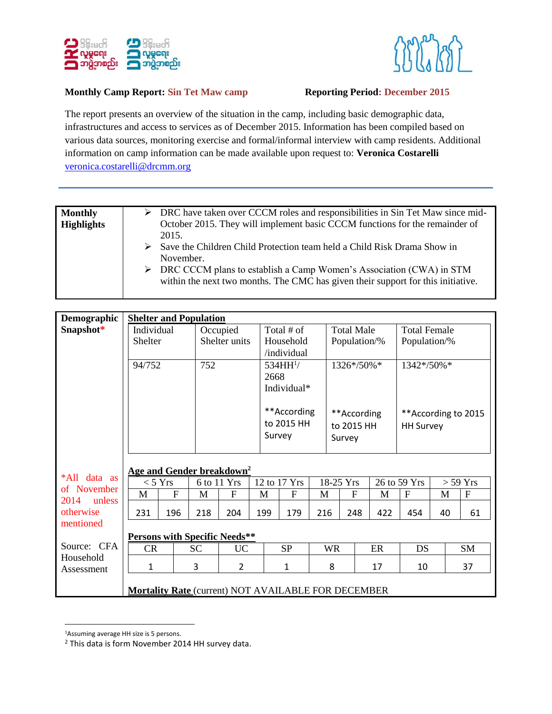



## **Monthly Camp Report: Sin Tet Maw camp Reporting Period: December 2015**

The report presents an overview of the situation in the camp, including basic demographic data, infrastructures and access to services as of December 2015. Information has been compiled based on various data sources, monitoring exercise and formal/informal interview with camp residents. Additional information on camp information can be made available upon request to: **Veronica Costarelli** [veronica.costarelli@drcmm.org](mailto:veronica.costarelli@drcmm.org)

| $\triangleright$ DRC have taken over CCCM roles and responsibilities in Sin Tet Maw since mid-<br>October 2015. They will implement basic CCCM functions for the remainder of                                                                                        |
|----------------------------------------------------------------------------------------------------------------------------------------------------------------------------------------------------------------------------------------------------------------------|
| $\triangleright$ Save the Children Child Protection team held a Child Risk Drama Show in<br>$\triangleright$ DRC CCCM plans to establish a Camp Women's Association (CWA) in STM<br>within the next two months. The CMC has given their support for this initiative. |
|                                                                                                                                                                                                                                                                      |

| Demographic             | <b>Shelter and Population</b>                       |             |           |                |              |                                     |                  |                                     |   |                     |                                         |             |            |    |              |
|-------------------------|-----------------------------------------------------|-------------|-----------|----------------|--------------|-------------------------------------|------------------|-------------------------------------|---|---------------------|-----------------------------------------|-------------|------------|----|--------------|
| Snapshot*               | Individual                                          |             |           | Occupied       |              | Total # of                          |                  | <b>Total Male</b>                   |   | <b>Total Female</b> |                                         |             |            |    |              |
|                         | <b>Shelter</b>                                      |             |           | Shelter units  |              | Household                           |                  | Population/%                        |   | Population/%        |                                         |             |            |    |              |
|                         |                                                     |             |           |                | /individual  |                                     |                  |                                     |   |                     |                                         |             |            |    |              |
|                         | 94/752                                              |             | 752       |                |              | 534HH <sup>1</sup> /                |                  | 1326*/50%*                          |   | 1342*/50%*          |                                         |             |            |    |              |
|                         |                                                     |             |           |                |              | 2668                                |                  |                                     |   |                     |                                         |             |            |    |              |
|                         |                                                     |             |           |                |              |                                     | Individual*      |                                     |   |                     |                                         |             |            |    |              |
|                         |                                                     |             |           |                |              | **According<br>to 2015 HH<br>Survey |                  | **According<br>to 2015 HH<br>Survey |   |                     | **According to 2015<br><b>HH Survey</b> |             |            |    |              |
| *All<br>data as         | Age and Gender breakdown <sup>2</sup>               |             |           |                |              |                                     |                  |                                     |   |                     |                                         |             |            |    |              |
| of November             |                                                     | $<$ 5 Yrs   |           | 6 to 11 Yrs    | 12 to 17 Yrs |                                     | 18-25 Yrs        |                                     |   | 26 to 59 Yrs        |                                         |             | $> 59$ Yrs |    |              |
| 2014<br>unless          | M                                                   | $\mathbf F$ | M         | F              | M            |                                     | $\boldsymbol{F}$ | M                                   |   | $\mathbf F$         | M                                       | $\mathbf F$ | M          |    | $\mathbf{F}$ |
| otherwise               | 231                                                 | 196         | 218       | 204            | 199          |                                     | 179              | 216                                 |   | 248                 | 422                                     | 454         | 40         |    | 61           |
| mentioned               |                                                     |             |           |                |              |                                     |                  |                                     |   |                     |                                         |             |            |    |              |
|                         | <b>Persons with Specific Needs**</b>                |             |           |                |              |                                     |                  |                                     |   |                     |                                         |             |            |    |              |
| Source: CFA             | CR<br><b>SC</b>                                     |             | <b>UC</b> |                | <b>SP</b>    |                                     |                  | <b>WR</b>                           |   | ER                  | DS                                      |             |            | SM |              |
| Household<br>Assessment | 1                                                   |             | 3         | $\overline{2}$ |              |                                     | 1                |                                     | 8 |                     | 17                                      | 10          |            |    | 37           |
|                         | Mortality Rate (current) NOT AVAILABLE FOR DECEMBER |             |           |                |              |                                     |                  |                                     |   |                     |                                         |             |            |    |              |

 $\overline{\phantom{a}}$ <sup>1</sup>Assuming average HH size is 5 persons.

<sup>2</sup> This data is form November 2014 HH survey data.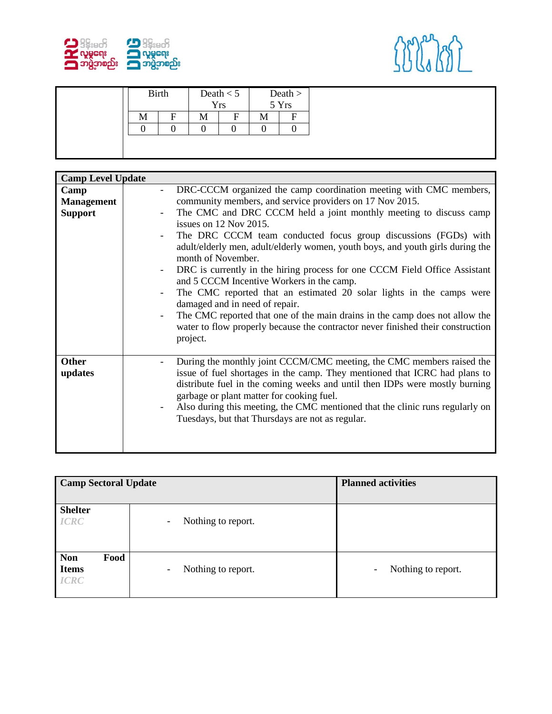



| F<br>F<br>М<br>М<br>IVI |  | <b>Birth</b> | Death $< 5$<br><b>Yrs</b> | Death $>$ 5 Yrs |
|-------------------------|--|--------------|---------------------------|-----------------|
|                         |  |              |                           |                 |
|                         |  |              |                           |                 |

| <b>Camp Level Update</b>                    |                                                                                                                                                                                                                                                                                                                                                                                                                                                                                                                                                                                                                                                                                                                                                                                                                                                                          |
|---------------------------------------------|--------------------------------------------------------------------------------------------------------------------------------------------------------------------------------------------------------------------------------------------------------------------------------------------------------------------------------------------------------------------------------------------------------------------------------------------------------------------------------------------------------------------------------------------------------------------------------------------------------------------------------------------------------------------------------------------------------------------------------------------------------------------------------------------------------------------------------------------------------------------------|
| Camp<br><b>Management</b><br><b>Support</b> | DRC-CCCM organized the camp coordination meeting with CMC members,<br>$\overline{\phantom{a}}$<br>community members, and service providers on 17 Nov 2015.<br>The CMC and DRC CCCM held a joint monthly meeting to discuss camp<br>$\overline{\phantom{a}}$<br>issues on 12 Nov 2015.<br>The DRC CCCM team conducted focus group discussions (FGDs) with<br>adult/elderly men, adult/elderly women, youth boys, and youth girls during the<br>month of November.<br>DRC is currently in the hiring process for one CCCM Field Office Assistant<br>$\overline{\phantom{a}}$<br>and 5 CCCM Incentive Workers in the camp.<br>The CMC reported that an estimated 20 solar lights in the camps were<br>$\overline{\phantom{a}}$<br>damaged and in need of repair.<br>The CMC reported that one of the main drains in the camp does not allow the<br>$\overline{\phantom{a}}$ |
| <b>Other</b><br>updates                     | water to flow properly because the contractor never finished their construction<br>project.<br>During the monthly joint CCCM/CMC meeting, the CMC members raised the<br>issue of fuel shortages in the camp. They mentioned that ICRC had plans to<br>distribute fuel in the coming weeks and until then IDPs were mostly burning<br>garbage or plant matter for cooking fuel.<br>Also during this meeting, the CMC mentioned that the clinic runs regularly on<br>Tuesdays, but that Thursdays are not as regular.                                                                                                                                                                                                                                                                                                                                                      |

| <b>Camp Sectoral Update</b>                       |                                                | <b>Planned activities</b>                      |
|---------------------------------------------------|------------------------------------------------|------------------------------------------------|
| <b>Shelter</b><br><b>ICRC</b>                     | Nothing to report.<br>$\overline{\phantom{a}}$ |                                                |
| Food<br><b>Non</b><br><b>Items</b><br><b>ICRC</b> | Nothing to report.<br>$\overline{\phantom{a}}$ | Nothing to report.<br>$\overline{\phantom{a}}$ |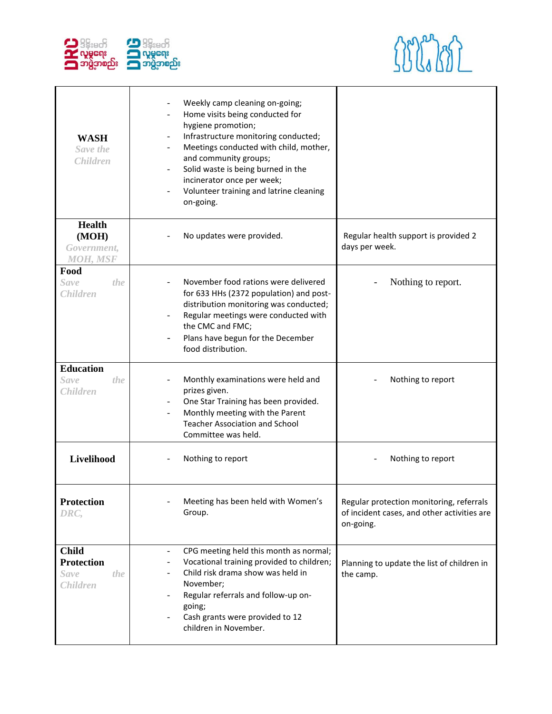



| <b>WASH</b><br>Save the<br><b>Children</b>                                 | Weekly camp cleaning on-going;<br>Home visits being conducted for<br>hygiene promotion;<br>Infrastructure monitoring conducted;<br>$\blacksquare$<br>Meetings conducted with child, mother,<br>and community groups;<br>Solid waste is being burned in the<br>$\overline{\phantom{a}}$<br>incinerator once per week;<br>Volunteer training and latrine cleaning<br>$\overline{\phantom{a}}$<br>on-going. |                                                                                                      |
|----------------------------------------------------------------------------|----------------------------------------------------------------------------------------------------------------------------------------------------------------------------------------------------------------------------------------------------------------------------------------------------------------------------------------------------------------------------------------------------------|------------------------------------------------------------------------------------------------------|
| <b>Health</b><br>(MOH)<br>Government,<br><b>MOH, MSF</b>                   | No updates were provided.                                                                                                                                                                                                                                                                                                                                                                                | Regular health support is provided 2<br>days per week.                                               |
| Food<br><b>Save</b><br>the<br><b>Children</b>                              | November food rations were delivered<br>for 633 HHs (2372 population) and post-<br>distribution monitoring was conducted;<br>Regular meetings were conducted with<br>$\overline{\phantom{a}}$<br>the CMC and FMC;<br>Plans have begun for the December<br>$\overline{\phantom{a}}$<br>food distribution.                                                                                                 | Nothing to report.                                                                                   |
| <b>Education</b><br><b>Save</b><br>the<br><b>Children</b>                  | Monthly examinations were held and<br>prizes given.<br>One Star Training has been provided.<br>$\overline{\phantom{a}}$<br>Monthly meeting with the Parent<br><b>Teacher Association and School</b><br>Committee was held.                                                                                                                                                                               | Nothing to report                                                                                    |
| Livelihood                                                                 | Nothing to report                                                                                                                                                                                                                                                                                                                                                                                        | Nothing to report                                                                                    |
| <b>Protection</b><br>DRC,                                                  | Meeting has been held with Women's<br>Group.                                                                                                                                                                                                                                                                                                                                                             | Regular protection monitoring, referrals<br>of incident cases, and other activities are<br>on-going. |
| <b>Child</b><br><b>Protection</b><br><b>Save</b><br>the<br><b>Children</b> | CPG meeting held this month as normal;<br>$\overline{\phantom{a}}$<br>Vocational training provided to children;<br>۰<br>Child risk drama show was held in<br>November;<br>Regular referrals and follow-up on-<br>$\overline{\phantom{a}}$<br>going;<br>Cash grants were provided to 12<br>children in November.                                                                                          | Planning to update the list of children in<br>the camp.                                              |